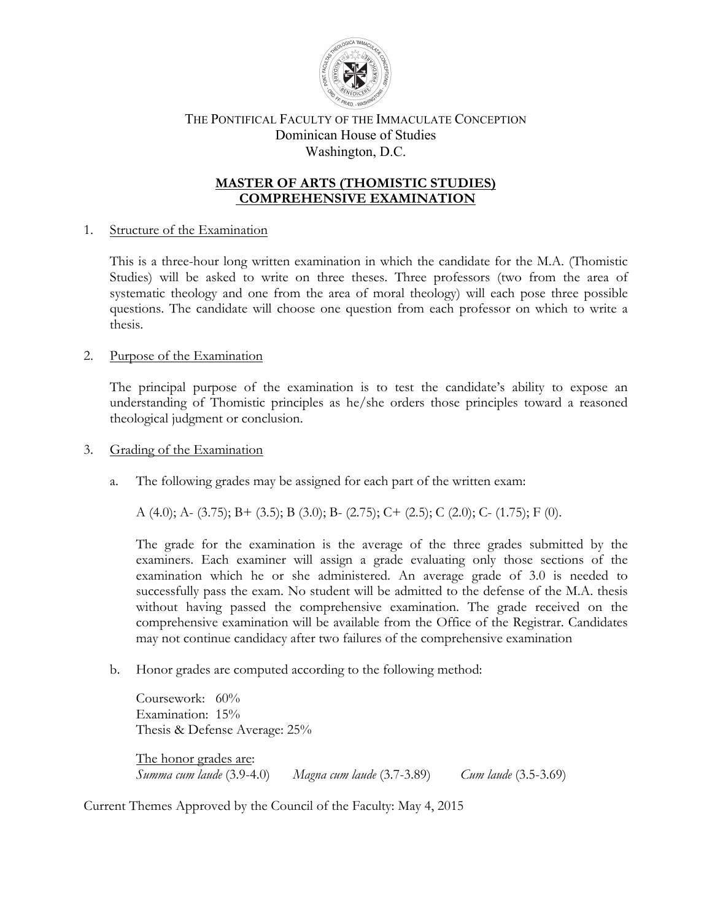

# THE PONTIFICAL FACULTY OF THE IMMACULATE CONCEPTION Dominican House of Studies Washington, D.C.

# **MASTER OF ARTS (THOMISTIC STUDIES) COMPREHENSIVE EXAMINATION**

# 1. Structure of the Examination

This is a three-hour long written examination in which the candidate for the M.A. (Thomistic Studies) will be asked to write on three theses. Three professors (two from the area of systematic theology and one from the area of moral theology) will each pose three possible questions. The candidate will choose one question from each professor on which to write a thesis.

## 2. Purpose of the Examination

The principal purpose of the examination is to test the candidate's ability to expose an understanding of Thomistic principles as he/she orders those principles toward a reasoned theological judgment or conclusion.

## 3. Grading of the Examination

a. The following grades may be assigned for each part of the written exam:

A (4.0); A- (3.75); B+ (3.5); B (3.0); B- (2.75); C+ (2.5); C (2.0); C- (1.75); F (0).

The grade for the examination is the average of the three grades submitted by the examiners. Each examiner will assign a grade evaluating only those sections of the examination which he or she administered. An average grade of 3.0 is needed to successfully pass the exam. No student will be admitted to the defense of the M.A. thesis without having passed the comprehensive examination. The grade received on the comprehensive examination will be available from the Office of the Registrar. Candidates may not continue candidacy after two failures of the comprehensive examination

b. Honor grades are computed according to the following method:

Coursework: 60% Examination: 15% Thesis & Defense Average: 25%

The honor grades are: *Summa cum laude* (3.9-4.0) *Magna cum laude* (3.7-3.89) *Cum laude* (3.5-3.69)

Current Themes Approved by the Council of the Faculty: May 4, 2015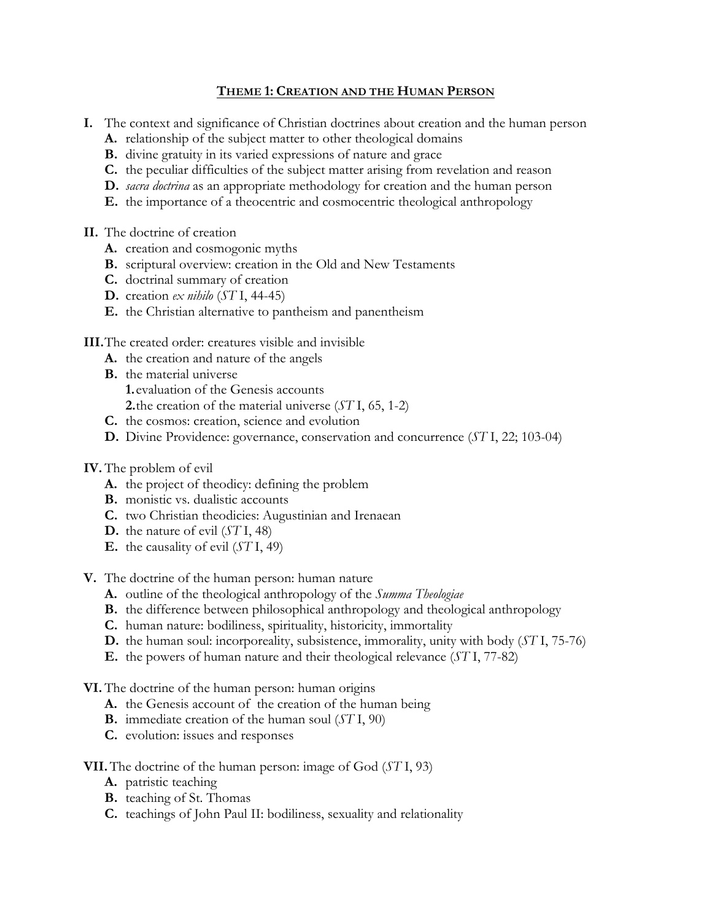# **THEME 1: CREATION AND THE HUMAN PERSON**

- **I.** The context and significance of Christian doctrines about creation and the human person
	- **A.** relationship of the subject matter to other theological domains
	- **B.** divine gratuity in its varied expressions of nature and grace
	- **C.** the peculiar difficulties of the subject matter arising from revelation and reason
	- **D.** *sacra doctrina* as an appropriate methodology for creation and the human person
	- **E.** the importance of a theocentric and cosmocentric theological anthropology
- **II.** The doctrine of creation
	- **A.** creation and cosmogonic myths
	- **B.** scriptural overview: creation in the Old and New Testaments
	- **C.** doctrinal summary of creation
	- **D.** creation *ex nihilo* (*ST* I, 44-45)
	- **E.** the Christian alternative to pantheism and panentheism
- **III.**The created order: creatures visible and invisible
	- **A.** the creation and nature of the angels
	- **B.** the material universe
		- **1.**evaluation of the Genesis accounts
		- **2.**the creation of the material universe (*ST* I, 65, 1-2)
	- **C.** the cosmos: creation, science and evolution
	- **D.** Divine Providence: governance, conservation and concurrence (*ST* I, 22; 103-04)
- **IV.** The problem of evil
	- **A.** the project of theodicy: defining the problem
	- **B.** monistic vs. dualistic accounts
	- **C.** two Christian theodicies: Augustinian and Irenaean
	- **D.** the nature of evil (*ST* I, 48)
	- **E.** the causality of evil (*ST* I, 49)
- **V.** The doctrine of the human person: human nature
	- **A.** outline of the theological anthropology of the *Summa Theologiae*
	- **B.** the difference between philosophical anthropology and theological anthropology
	- **C.** human nature: bodiliness, spirituality, historicity, immortality
	- **D.** the human soul: incorporeality, subsistence, immorality, unity with body (*ST* I, 75-76)
	- **E.** the powers of human nature and their theological relevance (*ST* I, 77-82)
- **VI.** The doctrine of the human person: human origins
	- **A.** the Genesis account of the creation of the human being
	- **B.** immediate creation of the human soul (*ST* I, 90)
	- **C.** evolution: issues and responses
- **VII.** The doctrine of the human person: image of God (*ST* I, 93)
	- **A.** patristic teaching
	- **B.** teaching of St. Thomas
	- **C.** teachings of John Paul II: bodiliness, sexuality and relationality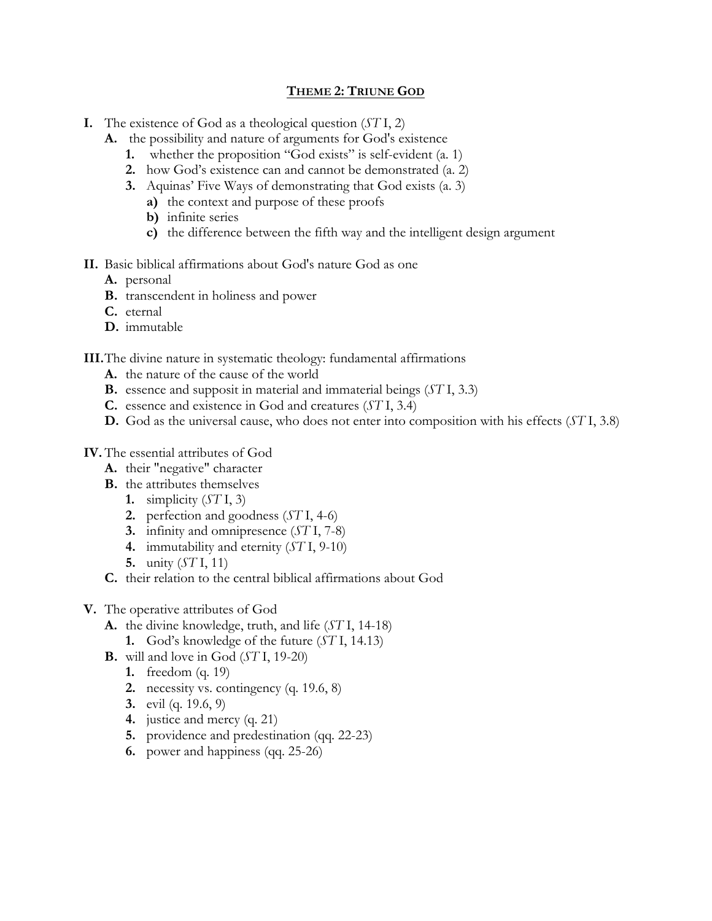## **THEME 2: TRIUNE GOD**

- **I.** The existence of God as a theological question (*ST* I, 2)
	- **A.** the possibility and nature of arguments for God's existence
		- **1.** whether the proposition "God exists" is self-evident (a. 1)
		- **2.** how God's existence can and cannot be demonstrated (a. 2)
		- **3.** Aquinas' Five Ways of demonstrating that God exists (a. 3)
			- **a)** the context and purpose of these proofs
			- **b)** infinite series
			- **c)** the difference between the fifth way and the intelligent design argument

# **II.** Basic biblical affirmations about God's nature God as one

- **A.** personal
- **B.** transcendent in holiness and power
- **C.** eternal
- **D.** immutable

# **III.**The divine nature in systematic theology: fundamental affirmations

- **A.** the nature of the cause of the world
- **B.** essence and supposit in material and immaterial beings (*ST* I, 3.3)
- **C.** essence and existence in God and creatures (*ST* I, 3.4)
- **D.** God as the universal cause, who does not enter into composition with his effects (*ST* I, 3.8)

# **IV.** The essential attributes of God

- **A.** their "negative" character
- **B.** the attributes themselves
	- **1.** simplicity (*ST* I, 3)
	- **2.** perfection and goodness (*ST* I, 4-6)
	- **3.** infinity and omnipresence (*ST* I, 7-8)
	- **4.** immutability and eternity (*ST* I, 9-10)
	- **5.** unity (*ST* I, 11)
- **C.** their relation to the central biblical affirmations about God
- **V.** The operative attributes of God
	- **A.** the divine knowledge, truth, and life (*ST* I, 14-18)
		- **1.** God's knowledge of the future (*ST* I, 14.13)
	- **B.** will and love in God (*ST* I, 19-20)
		- **1.** freedom (q. 19)
		- **2.** necessity vs. contingency (q. 19.6, 8)
		- **3.** evil (q. 19.6, 9)
		- **4.** justice and mercy (q. 21)
		- **5.** providence and predestination (qq. 22-23)
		- **6.** power and happiness (qq. 25-26)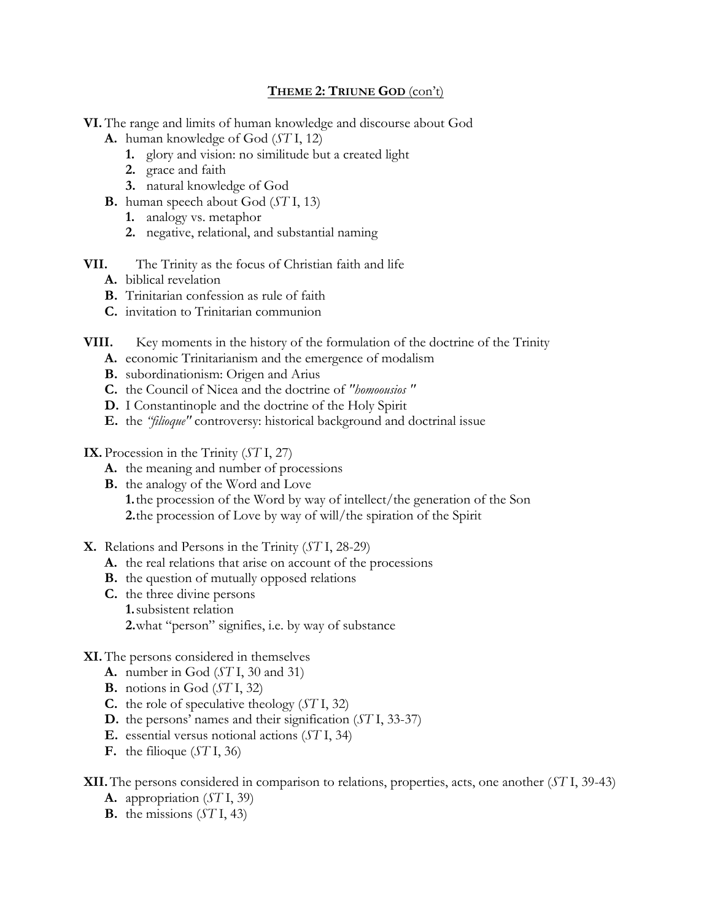## **THEME 2: TRIUNE GOD** (con't)

**VI.** The range and limits of human knowledge and discourse about God

- **A.** human knowledge of God (*ST* I, 12)
	- **1.** glory and vision: no similitude but a created light
	- **2.** grace and faith
	- **3.** natural knowledge of God
- **B.** human speech about God (*ST* I, 13)
	- **1.** analogy vs. metaphor
	- **2.** negative, relational, and substantial naming
- **VII.** The Trinity as the focus of Christian faith and life
	- **A.** biblical revelation
	- **B.** Trinitarian confession as rule of faith
	- **C.** invitation to Trinitarian communion
- **VIII.** Key moments in the history of the formulation of the doctrine of the Trinity
	- **A.** economic Trinitarianism and the emergence of modalism
	- **B.** subordinationism: Origen and Arius
	- **C.** the Council of Nicea and the doctrine of *"homoousios "*
	- **D.** I Constantinople and the doctrine of the Holy Spirit
	- **E.** the *"filioque"* controversy: historical background and doctrinal issue
- **IX.** Procession in the Trinity (*ST* I, 27)
	- **A.** the meaning and number of processions
	- **B.** the analogy of the Word and Love

**1.**the procession of the Word by way of intellect/the generation of the Son **2.**the procession of Love by way of will/the spiration of the Spirit

- **X.** Relations and Persons in the Trinity (*ST* I, 28-29)
	- **A.** the real relations that arise on account of the processions
	- **B.** the question of mutually opposed relations
	- **C.** the three divine persons **1.**subsistent relation **2.**what "person" signifies, i.e. by way of substance

# **XI.** The persons considered in themselves

- **A.** number in God (*ST* I, 30 and 31)
- **B.** notions in God (*ST* I, 32)
- **C.** the role of speculative theology (*ST* I, 32)
- **D.** the persons' names and their signification (*ST* I, 33-37)
- **E.** essential versus notional actions (*ST* I, 34)
- **F.** the filioque (*ST* I, 36)

**XII.**The persons considered in comparison to relations, properties, acts, one another (*ST* I, 39-43)

- **A.** appropriation (*ST* I, 39)
- **B.** the missions (*ST* I, 43)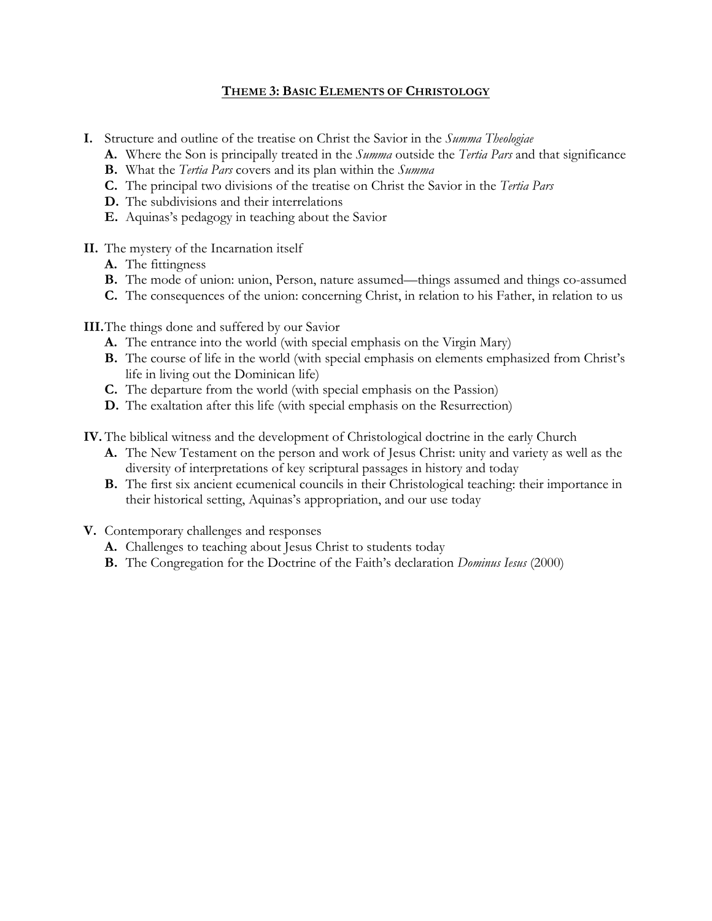# **THEME 3: BASIC ELEMENTS OF CHRISTOLOGY**

- **I.** Structure and outline of the treatise on Christ the Savior in the *Summa Theologiae*
	- **A.** Where the Son is principally treated in the *Summa* outside the *Tertia Pars* and that significance
	- **B.** What the *Tertia Pars* covers and its plan within the *Summa*
	- **C.** The principal two divisions of the treatise on Christ the Savior in the *Tertia Pars*
	- **D.** The subdivisions and their interrelations
	- **E.** Aquinas's pedagogy in teaching about the Savior
- **II.** The mystery of the Incarnation itself
	- **A.** The fittingness
	- **B.** The mode of union: union, Person, nature assumed—things assumed and things co-assumed
	- **C.** The consequences of the union: concerning Christ, in relation to his Father, in relation to us
- **III.**The things done and suffered by our Savior
	- **A.** The entrance into the world (with special emphasis on the Virgin Mary)
	- **B.** The course of life in the world (with special emphasis on elements emphasized from Christ's life in living out the Dominican life)
	- **C.** The departure from the world (with special emphasis on the Passion)
	- **D.** The exaltation after this life (with special emphasis on the Resurrection)
- **IV.** The biblical witness and the development of Christological doctrine in the early Church
	- **A.** The New Testament on the person and work of Jesus Christ: unity and variety as well as the diversity of interpretations of key scriptural passages in history and today
	- **B.** The first six ancient ecumenical councils in their Christological teaching: their importance in their historical setting, Aquinas's appropriation, and our use today
- **V.** Contemporary challenges and responses
	- **A.** Challenges to teaching about Jesus Christ to students today
	- **B.** The Congregation for the Doctrine of the Faith's declaration *Dominus Iesus* (2000)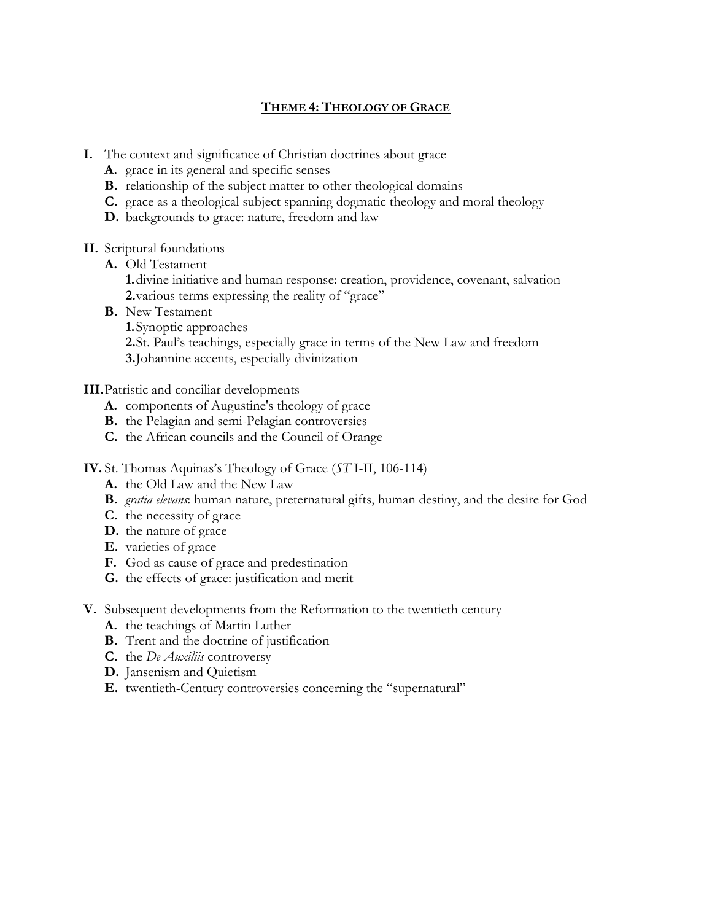# **THEME 4: THEOLOGY OF GRACE**

- **I.** The context and significance of Christian doctrines about grace
	- **A.** grace in its general and specific senses
	- **B.** relationship of the subject matter to other theological domains
	- **C.** grace as a theological subject spanning dogmatic theology and moral theology
	- **D.** backgrounds to grace: nature, freedom and law
- **II.** Scriptural foundations
	- **A.** Old Testament
		- **1.**divine initiative and human response: creation, providence, covenant, salvation **2.**various terms expressing the reality of "grace"
	- **B.** New Testament
		- **1.**Synoptic approaches
		- **2.**St. Paul's teachings, especially grace in terms of the New Law and freedom
		- **3.**Johannine accents, especially divinization

## **III.**Patristic and conciliar developments

- **A.** components of Augustine's theology of grace
- **B.** the Pelagian and semi-Pelagian controversies
- **C.** the African councils and the Council of Orange
- **IV.** St. Thomas Aquinas's Theology of Grace (*ST* I-II, 106-114)
	- **A.** the Old Law and the New Law
	- **B.** *gratia elevans*: human nature, preternatural gifts, human destiny, and the desire for God
	- **C.** the necessity of grace
	- **D.** the nature of grace
	- **E.** varieties of grace
	- **F.** God as cause of grace and predestination
	- **G.** the effects of grace: justification and merit
- **V.** Subsequent developments from the Reformation to the twentieth century
	- **A.** the teachings of Martin Luther
	- **B.** Trent and the doctrine of justification
	- **C.** the *De Auxiliis* controversy
	- **D.** Jansenism and Quietism
	- **E.** twentieth-Century controversies concerning the "supernatural"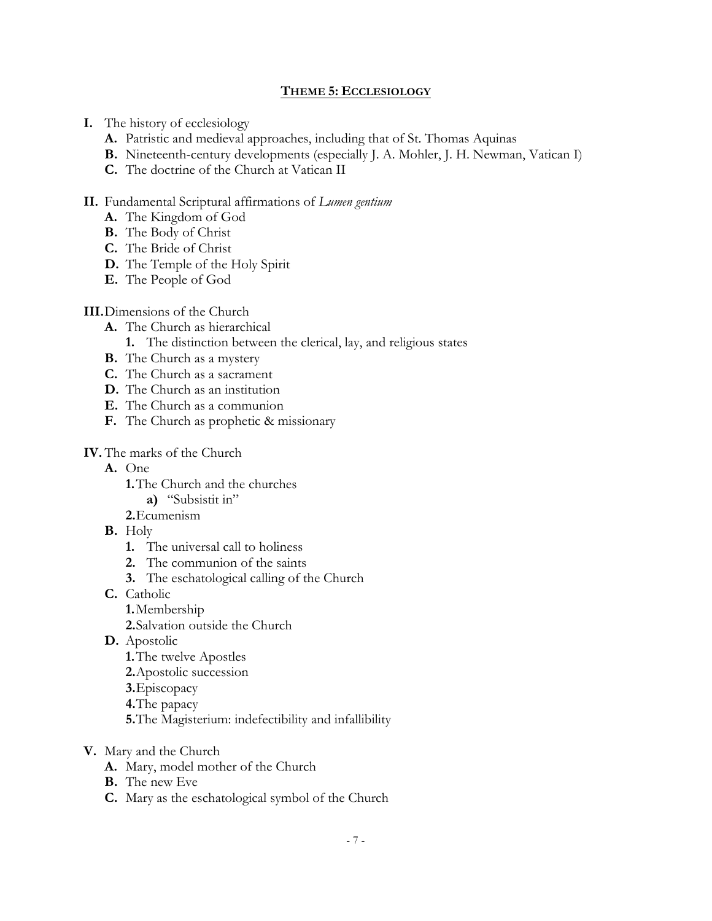## **THEME 5: ECCLESIOLOGY**

- **I.** The history of ecclesiology
	- **A.** Patristic and medieval approaches, including that of St. Thomas Aquinas
	- **B.** Nineteenth-century developments (especially J. A. Mohler, J. H. Newman, Vatican I)
	- **C.** The doctrine of the Church at Vatican II

## **II.** Fundamental Scriptural affirmations of *Lumen gentium*

- **A.** The Kingdom of God
- **B.** The Body of Christ
- **C.** The Bride of Christ
- **D.** The Temple of the Holy Spirit
- **E.** The People of God

## **III.**Dimensions of the Church

- **A.** The Church as hierarchical
	- **1.** The distinction between the clerical, lay, and religious states
- **B.** The Church as a mystery
- **C.** The Church as a sacrament
- **D.** The Church as an institution
- **E.** The Church as a communion
- **F.** The Church as prophetic & missionary

# **IV.** The marks of the Church

- **A.** One
	- **1.**The Church and the churches
		- **a)** "Subsistit in"
	- **2.**Ecumenism
- **B.** Holy
	- **1.** The universal call to holiness
	- **2.** The communion of the saints
	- **3.** The eschatological calling of the Church
- **C.** Catholic
	- **1.**Membership
	- **2.**Salvation outside the Church
- **D.** Apostolic
	- **1.**The twelve Apostles
	- **2.**Apostolic succession
	- **3.**Episcopacy
	- **4.**The papacy
	- **5.**The Magisterium: indefectibility and infallibility
- **V.** Mary and the Church
	- **A.** Mary, model mother of the Church
	- **B.** The new Eve
	- **C.** Mary as the eschatological symbol of the Church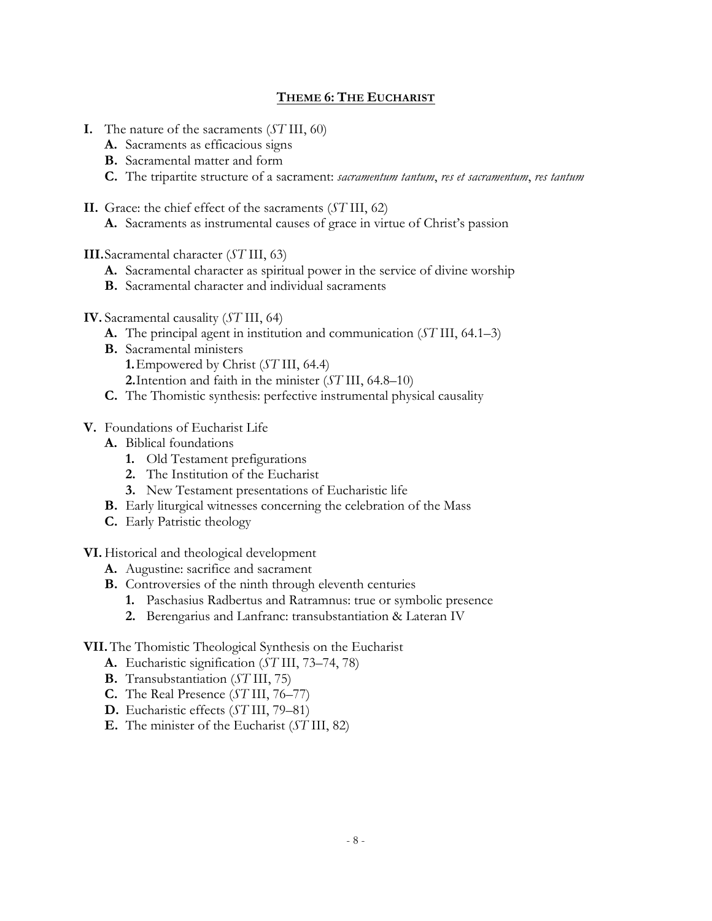# **THEME 6: THE EUCHARIST**

- **I.** The nature of the sacraments (*ST* III, 60)
	- **A.** Sacraments as efficacious signs
	- **B.** Sacramental matter and form
	- **C.** The tripartite structure of a sacrament: *sacramentum tantum*, *res et sacramentum*, *res tantum*
- **II.** Grace: the chief effect of the sacraments (*ST* III, 62)
	- **A.** Sacraments as instrumental causes of grace in virtue of Christ's passion
- **III.**Sacramental character (*ST* III, 63)
	- **A.** Sacramental character as spiritual power in the service of divine worship
	- **B.** Sacramental character and individual sacraments
- **IV.** Sacramental causality (*ST* III, 64)
	- **A.** The principal agent in institution and communication (*ST* III, 64.1–3)
	- **B.** Sacramental ministers
		- **1.**Empowered by Christ (*ST* III, 64.4)
		- **2.**Intention and faith in the minister (*ST* III, 64.8–10)
	- **C.** The Thomistic synthesis: perfective instrumental physical causality

## **V.** Foundations of Eucharist Life

- **A.** Biblical foundations
	- **1.** Old Testament prefigurations
	- **2.** The Institution of the Eucharist
	- **3.** New Testament presentations of Eucharistic life
- **B.** Early liturgical witnesses concerning the celebration of the Mass
- **C.** Early Patristic theology

#### **VI.** Historical and theological development

- **A.** Augustine: sacrifice and sacrament
- **B.** Controversies of the ninth through eleventh centuries
	- **1.** Paschasius Radbertus and Ratramnus: true or symbolic presence
	- **2.** Berengarius and Lanfranc: transubstantiation & Lateran IV

#### **VII.** The Thomistic Theological Synthesis on the Eucharist

- **A.** Eucharistic signification (*ST* III, 73–74, 78)
- **B.** Transubstantiation (*ST* III, 75)
- **C.** The Real Presence (*ST* III, 76–77)
- **D.** Eucharistic effects (*ST* III, 79–81)
- **E.** The minister of the Eucharist (*ST* III, 82)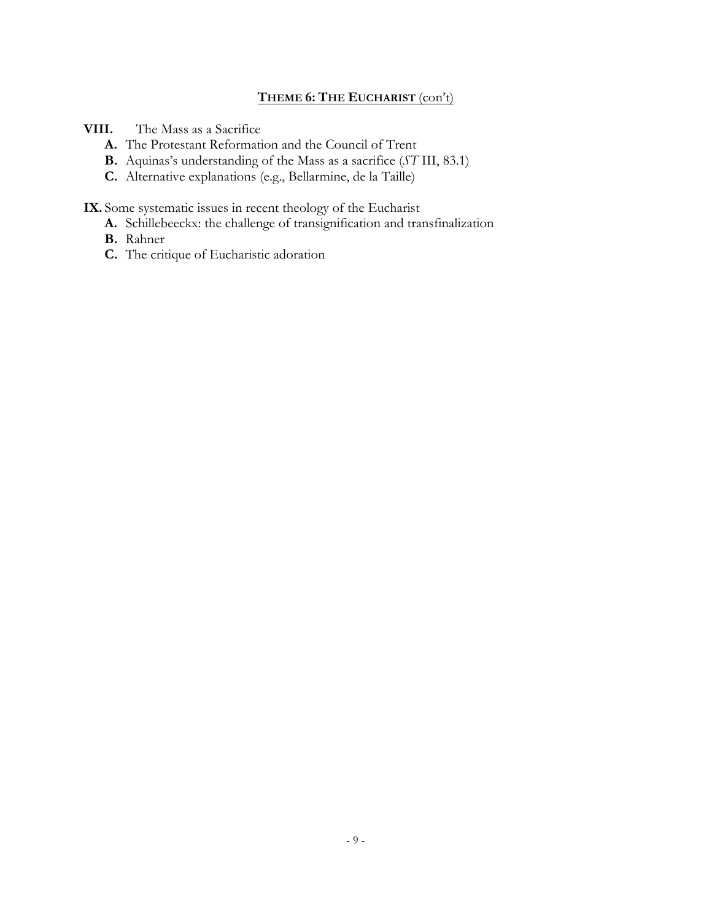# **THEME 6: THE EUCHARIST** (con't)

**VIII.** The Mass as a Sacrifice

- **A.** The Protestant Reformation and the Council of Trent
- **B.** Aquinas's understanding of the Mass as a sacrifice (*ST* III, 83.1)
- **C.** Alternative explanations (e.g., Bellarmine, de la Taille)

**IX.** Some systematic issues in recent theology of the Eucharist

- **A.** Schillebeeckx: the challenge of transignification and transfinalization
- **B.** Rahner
- **C.** The critique of Eucharistic adoration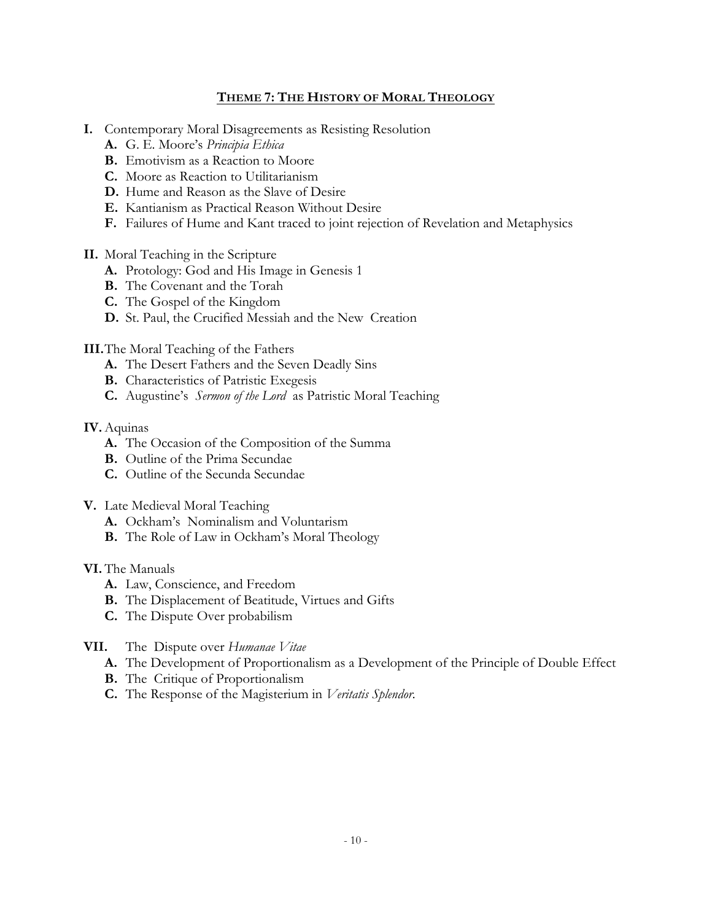# **THEME 7: THE HISTORY OF MORAL THEOLOGY**

- **I.** Contemporary Moral Disagreements as Resisting Resolution
	- **A.** G. E. Moore's *Principia Ethica*
	- **B.** Emotivism as a Reaction to Moore
	- **C.** Moore as Reaction to Utilitarianism
	- **D.** Hume and Reason as the Slave of Desire
	- **E.** Kantianism as Practical Reason Without Desire
	- **F.** Failures of Hume and Kant traced to joint rejection of Revelation and Metaphysics
- **II.** Moral Teaching in the Scripture
	- **A.** Protology: God and His Image in Genesis 1
	- **B.** The Covenant and the Torah
	- **C.** The Gospel of the Kingdom
	- **D.** St. Paul, the Crucified Messiah and the New Creation
- **III.**The Moral Teaching of the Fathers
	- **A.** The Desert Fathers and the Seven Deadly Sins
	- **B.** Characteristics of Patristic Exegesis
	- **C.** Augustine's *Sermon of the Lord* as Patristic Moral Teaching

#### **IV.** Aquinas

- **A.** The Occasion of the Composition of the Summa
- **B.** Outline of the Prima Secundae
- **C.** Outline of the Secunda Secundae
- **V.** Late Medieval Moral Teaching
	- **A.** Ockham's Nominalism and Voluntarism
	- **B.** The Role of Law in Ockham's Moral Theology

#### **VI.** The Manuals

- **A.** Law, Conscience, and Freedom
- **B.** The Displacement of Beatitude, Virtues and Gifts
- **C.** The Dispute Over probabilism
- **VII.** The Dispute over *Humanae Vitae*
	- **A.** The Development of Proportionalism as a Development of the Principle of Double Effect
	- **B.** The Critique of Proportionalism
	- **C.** The Response of the Magisterium in *Veritatis Splendor.*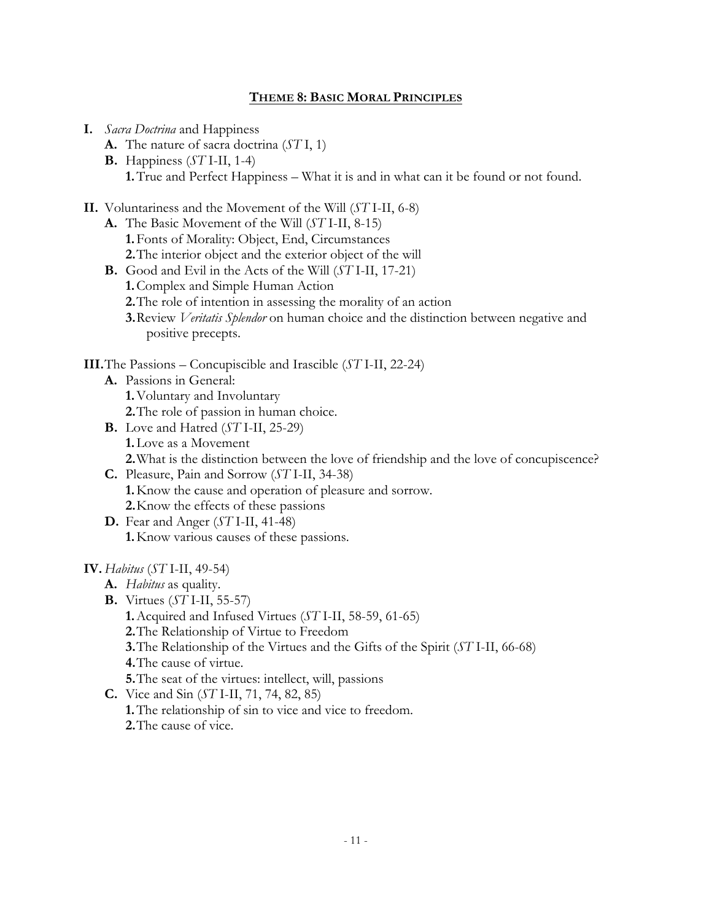## **THEME 8: BASIC MORAL PRINCIPLES**

- **I.** *Sacra Doctrina* and Happiness
	- **A.** The nature of sacra doctrina (*ST* I, 1)
	- **B.** Happiness (*ST* I-II, 1-4) **1.**True and Perfect Happiness – What it is and in what can it be found or not found.
- **II.** Voluntariness and the Movement of the Will (*ST* I-II, 6-8)
	- **A.** The Basic Movement of the Will (*ST* I-II, 8-15) **1.**Fonts of Morality: Object, End, Circumstances **2.**The interior object and the exterior object of the will
	- **B.** Good and Evil in the Acts of the Will (*ST* I-II, 17-21) **1.**Complex and Simple Human Action **2.**The role of intention in assessing the morality of an action **3.**Review *Veritatis Splendor* on human choice and the distinction between negative and positive precepts.
- **III.**The Passions Concupiscible and Irascible (*ST* I-II, 22-24)
	- **A.** Passions in General: **1.**Voluntary and Involuntary
		- **2.**The role of passion in human choice.
	- **B.** Love and Hatred (*ST* I-II, 25-29) **1.**Love as a Movement **2.**What is the distinction between the love of friendship and the love of concupiscence?
	- **C.** Pleasure, Pain and Sorrow (*ST* I-II, 34-38) **1.**Know the cause and operation of pleasure and sorrow. **2.**Know the effects of these passions
	- **D.** Fear and Anger (*ST* I-II, 41-48) **1.**Know various causes of these passions.

#### **IV.** *Habitus* (*ST* I-II, 49-54)

- **A.** *Habitus* as quality.
- **B.** Virtues (*ST* I-II, 55-57)
	- **1.**Acquired and Infused Virtues (*ST* I-II, 58-59, 61-65)
	- **2.**The Relationship of Virtue to Freedom
	- **3.**The Relationship of the Virtues and the Gifts of the Spirit (*ST* I-II, 66-68)
	- **4.**The cause of virtue.
	- **5.**The seat of the virtues: intellect, will, passions
- **C.** Vice and Sin (*ST* I-II, 71, 74, 82, 85)
	- **1.**The relationship of sin to vice and vice to freedom. **2.**The cause of vice.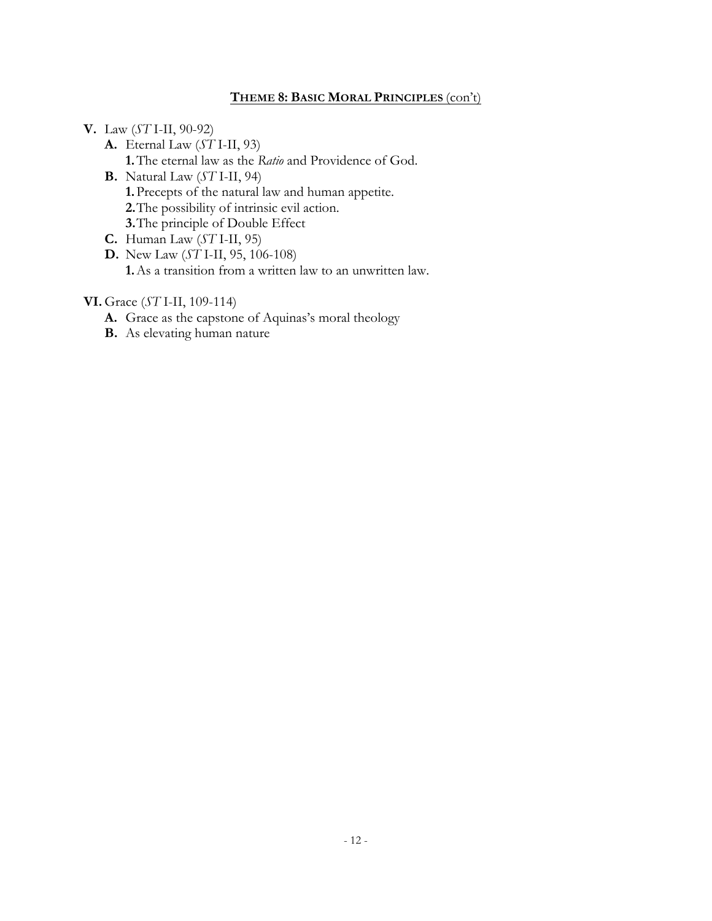# **THEME 8: BASIC MORAL PRINCIPLES** (con't)

- **V.** Law (*ST* I-II, 90-92)
	- **A.** Eternal Law (*ST* I-II, 93)
		- **1.**The eternal law as the *Ratio* and Providence of God.
	- **B.** Natural Law (*ST* I-II, 94) **1.**Precepts of the natural law and human appetite. **2.**The possibility of intrinsic evil action. **3.**The principle of Double Effect
	- **C.** Human Law (*ST* I-II, 95)
	- **D.** New Law (*ST* I-II, 95, 106-108) **1.**As a transition from a written law to an unwritten law.

## **VI.** Grace (*ST* I-II, 109-114)

- **A.** Grace as the capstone of Aquinas's moral theology
- **B.** As elevating human nature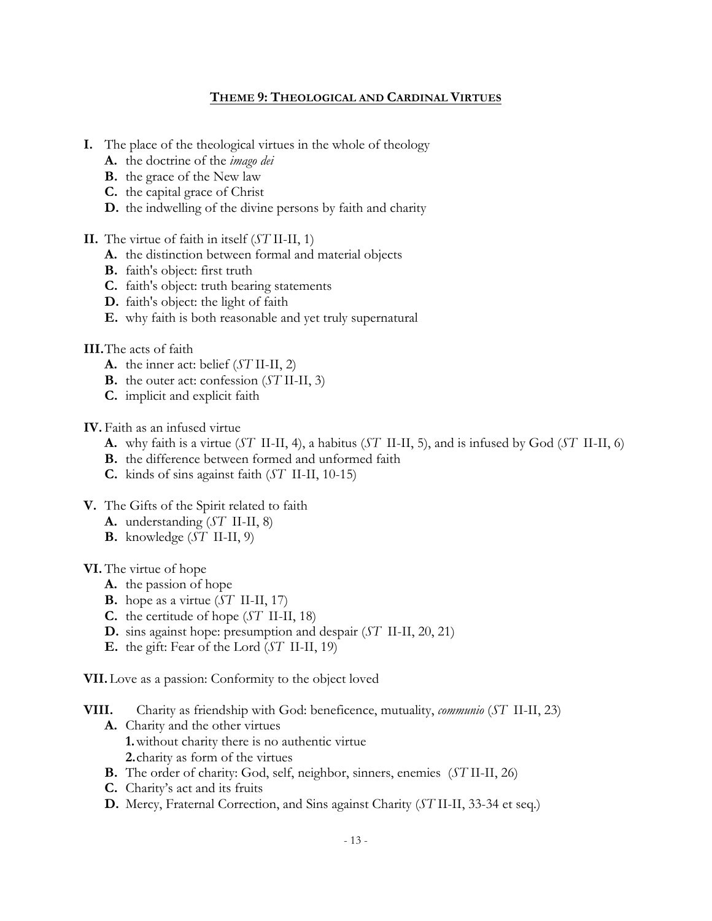## **THEME 9: THEOLOGICAL AND CARDINAL VIRTUES**

- **I.** The place of the theological virtues in the whole of theology
	- **A.** the doctrine of the *imago dei*
	- **B.** the grace of the New law
	- **C.** the capital grace of Christ
	- **D.** the indwelling of the divine persons by faith and charity

## **II.** The virtue of faith in itself (*ST* II-II, 1)

- **A.** the distinction between formal and material objects
- **B.** faith's object: first truth
- **C.** faith's object: truth bearing statements
- **D.** faith's object: the light of faith
- **E.** why faith is both reasonable and yet truly supernatural

# **III.**The acts of faith

- **A.** the inner act: belief (*ST* II-II, 2)
- **B.** the outer act: confession (*ST* II-II, 3)
- **C.** implicit and explicit faith

**IV.** Faith as an infused virtue

- **A.** why faith is a virtue (*ST* II-II, 4), a habitus (*ST* II-II, 5), and is infused by God (*ST* II-II, 6)
- **B.** the difference between formed and unformed faith
- **C.** kinds of sins against faith (*ST* II-II, 10-15)
- **V.** The Gifts of the Spirit related to faith
	- **A.** understanding (*ST* II-II, 8)
	- **B.** knowledge (*ST* II-II, 9)

# **VI.** The virtue of hope

- **A.** the passion of hope
- **B.** hope as a virtue (*ST* II-II, 17)
- **C.** the certitude of hope (*ST* II-II, 18)
- **D.** sins against hope: presumption and despair (*ST* II-II, 20, 21)
- **E.** the gift: Fear of the Lord (*ST* II-II, 19)

**VII.**Love as a passion: Conformity to the object loved

- **VIII.** Charity as friendship with God: beneficence, mutuality, *communio* (*ST* II-II, 23) **A.** Charity and the other virtues
	- **1.**without charity there is no authentic virtue
	- **2.**charity as form of the virtues
	- **B.** The order of charity: God, self, neighbor, sinners, enemies (*ST* II-II, 26)
	- **C.** Charity's act and its fruits
	- **D.** Mercy, Fraternal Correction, and Sins against Charity (*ST* II-II, 33-34 et seq.)